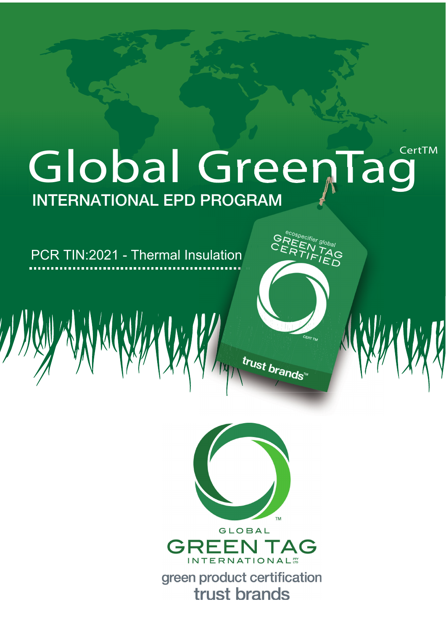# Global GreenTag **INTERNATIONAL EPD PROGRAM**

PCR TIN:2021 - Thermal Insulation



trust brands"

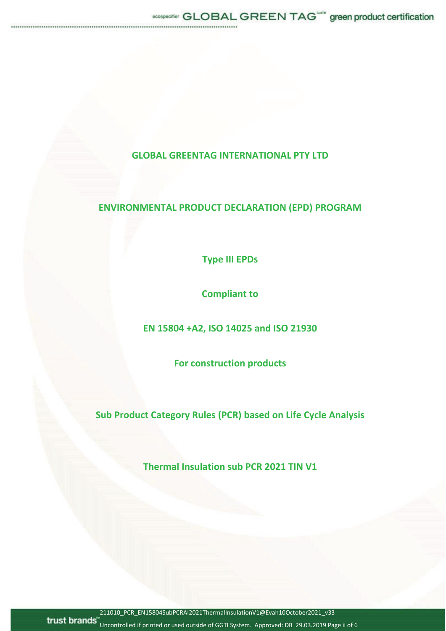## **GLOBAL GREENTAG INTERNATIONAL PTY LTD**

# **ENVIRONMENTAL PRODUCT DECLARATION (EPD) PROGRAM**

**Type III EPDs**

**Compliant to**

**EN 15804 +A2, ISO 14025 and ISO 21930**

**For construction products**

**Sub Product Category Rules (PCR) based on Life Cycle Analysis**

**Thermal Insulation sub PCR 2021 TIN V1**

211010\_PCR\_EN15804SubPCRAI2021ThermalInsulationV1@Evah10October2021\_v33

trust brands<sup>"</sup> Uncontrolled if printed or used outside of GGTI System. Approved: DB 29.03.2019 Page ii of 6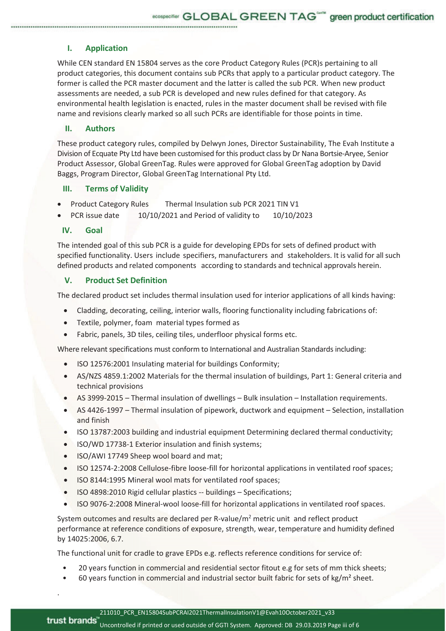### **I. Application**

While CEN standard EN 15804 serves as the core Product Category Rules (PCR)s pertaining to all product categories, this document contains sub PCRs that apply to a particular product category. The former is called the PCR master document and the latter is called the sub PCR. When new product assessments are needed, a sub PCR is developed and new rules defined for that category. As environmental health legislation is enacted, rules in the master document shall be revised with file name and revisions clearly marked so all such PCRs are identifiable for those points in time.

#### **II. Authors**

These product category rules, compiled by Delwyn Jones, Director Sustainability, The Evah Institute a Division of Ecquate Pty Ltd have been customised for this product class by Dr Nana Bortsie-Aryee, Senior Product Assessor, Global GreenTag. Rules were approved for Global GreenTag adoption by David Baggs, Program Director, Global GreenTag International Pty Ltd.

#### **III. Terms of Validity**

- Product Category Rules Thermal Insulation sub PCR 2021 TIN V1
- PCR issue date 10/10/2021 and Period of validity to 10/10/2023

#### **IV. Goal**

.

The intended goal of this sub PCR is a guide for developing EPDs for sets of defined product with specified functionality. Users include specifiers, manufacturers and stakeholders. It is valid for all such defined products and related components according to standards and technical approvals herein.

#### **V. Product Set Definition**

The declared product set includes thermal insulation used for interior applications of all kinds having:

- Cladding, decorating, ceiling, interior walls, flooring functionality including fabrications of:
- Textile, polymer, foam material types formed as
- Fabric, panels, 3D tiles, ceiling tiles, underfloor physical forms etc.

Where relevant specifications must conform to International and Australian Standards including:

- ISO 12576:2001 Insulating material for buildings Conformity;
- AS/NZS 4859.1:2002 Materials for the thermal insulation of buildings, Part 1: General criteria and technical provisions
- AS 3999-2015 Thermal insulation of dwellings Bulk insulation Installation requirements.
- AS 4426-1997 Thermal insulation of pipework, ductwork and equipment Selection, installation and finish
- ISO 13787:2003 building and industrial equipment Determining declared thermal conductivity;
- ISO/WD 17738-1 Exterior insulation and finish systems;
- ISO/AWI 17749 Sheep wool board and mat;
- ISO 12574-2:2008 Cellulose-fibre loose-fill for horizontal applications in ventilated roof spaces;
- ISO 8144:1995 Mineral wool mats for ventilated roof spaces:
- ISO 4898:2010 Rigid cellular plastics -- buildings Specifications;
- ISO 9076-2:2008 Mineral-wool loose-fill for horizontal applications in ventilated roof spaces.

System outcomes and results are declared per R-value/m<sup>2</sup> metric unit and reflect product performance at reference conditions of exposure, strength, wear, temperature and humidity defined by 14025:2006, 6.7.

The functional unit for cradle to grave EPDs e.g. reflects reference conditions for service of:

- 20 years function in commercial and residential sector fitout e.g for sets of mm thick sheets;
- 60 years function in commercial and industrial sector built fabric for sets of kg/m² sheet.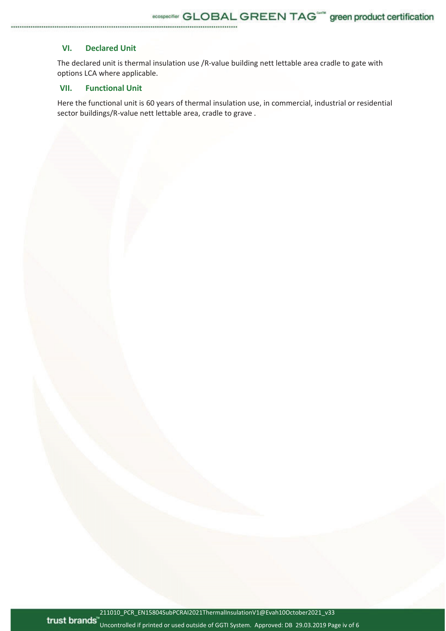#### **VI. Declared Unit**

The declared unit is thermal insulation use /R-value building nett lettable area cradle to gate with options LCA where applicable.

## **VII. Functional Unit**

Here the functional unit is 60 years of thermal insulation use, in commercial, industrial or residential sector buildings/R-value nett lettable area, cradle to grave .

211010\_PCR\_EN15804SubPCRAI2021ThermalInsulationV1@Evah10October2021\_v33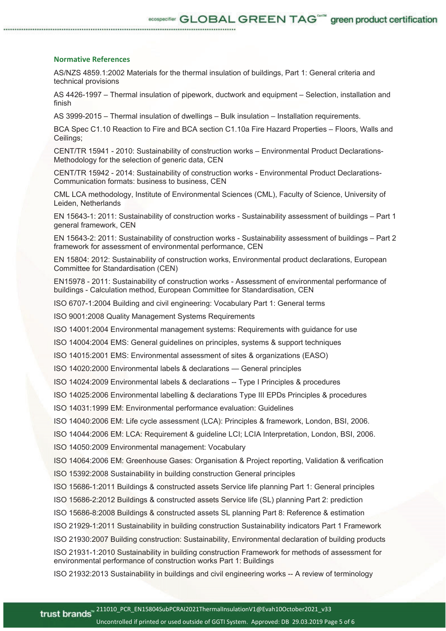#### **Normative References**

AS/NZS 4859.1:2002 Materials for the thermal insulation of buildings, Part 1: General criteria and technical provisions

AS 4426-1997 – Thermal insulation of pipework, ductwork and equipment – Selection, installation and finish

AS 3999-2015 – Thermal insulation of dwellings – Bulk insulation – Installation requirements.

BCA Spec C1.10 Reaction to Fire and BCA section C1.10a Fire Hazard Properties – Floors, Walls and Ceilings;

CENT/TR 15941 - 2010: Sustainability of construction works – Environmental Product Declarations-Methodology for the selection of generic data, CEN

CENT/TR 15942 - 2014: Sustainability of construction works - Environmental Product Declarations-Communication formats: business to business, CEN

CML LCA methodology, Institute of Environmental Sciences (CML), Faculty of Science, University of Leiden, Netherlands

EN 15643-1: 2011: Sustainability of construction works - Sustainability assessment of buildings – Part 1 general framework, CEN

EN 15643-2: 2011: Sustainability of construction works - Sustainability assessment of buildings – Part 2 framework for assessment of environmental performance, CEN

EN 15804: 2012: Sustainability of construction works, Environmental product declarations, European Committee for Standardisation (CEN)

EN15978 - 2011: Sustainability of construction works - Assessment of environmental performance of buildings - Calculation method, European Committee for Standardisation, CEN

ISO 6707-1:2004 Building and civil engineering: Vocabulary Part 1: General terms

ISO 9001:2008 Quality Management Systems Requirements

ISO 14001:2004 Environmental management systems: Requirements with guidance for use

ISO 14004:2004 EMS: General guidelines on principles, systems & support techniques

ISO 14015:2001 EMS: Environmental assessment of sites & organizations (EASO)

ISO 14020:2000 Environmental labels & declarations — General principles

ISO 14024:2009 Environmental labels & declarations -- Type I Principles & procedures

ISO 14025:2006 Environmental labelling & declarations Type III EPDs Principles & procedures

ISO 14031:1999 EM: Environmental performance evaluation: Guidelines

ISO 14040:2006 EM: Life cycle assessment (LCA): Principles & framework, London, BSI, 2006.

ISO 14044:2006 EM: LCA: Requirement & guideline LCI; LCIA Interpretation, London, BSI, 2006.

ISO 14050:2009 Environmental management: Vocabulary

ISO 14064:2006 EM: Greenhouse Gases: Organisation & Project reporting, Validation & verification

ISO 15392:2008 Sustainability in building construction General principles

ISO 15686-1:2011 Buildings & constructed assets Service life planning Part 1: General principles

ISO 15686-2:2012 Buildings & constructed assets Service life (SL) planning Part 2: prediction

ISO 15686-8:2008 Buildings & constructed assets SL planning Part 8: Reference & estimation

ISO 21929-1:2011 Sustainability in building construction Sustainability indicators Part 1 Framework

ISO 21930:2007 Building construction: Sustainability, Environmental declaration of building products

ISO 21931-1:2010 Sustainability in building construction Framework for methods of assessment for environmental performance of construction works Part 1: Buildings

ISO 21932:2013 Sustainability in buildings and civil engineering works -- A review of terminology

Uncontrolled if printed or used outside of GGTI System. Approved: DB 29.03.2019 Page 5 of 6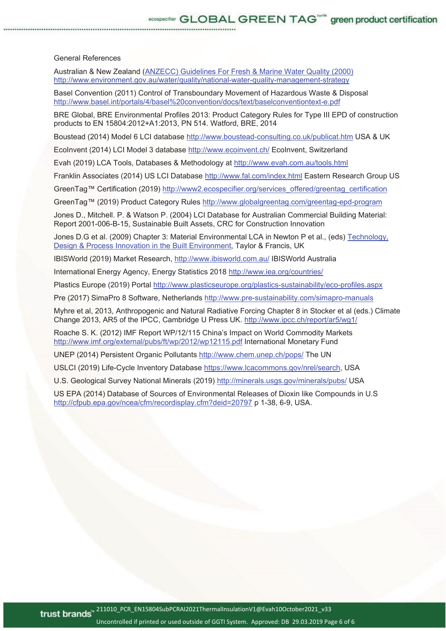#### General References

Australian & New Zealand (ANZECC) Guidelines For Fresh & Marine Water Quality (2000) http://www.environment.gov.au/water/quality/national-water-quality-management-strategy

Basel Convention (2011) Control of Transboundary Movement of Hazardous Waste & Disposal http://www.basel.int/portals/4/basel%20convention/docs/text/baselconventiontext-e.pdf

BRE Global, BRE Environmental Profiles 2013: Product Category Rules for Type III EPD of construction products to EN 15804:2012+A1:2013, PN 514. Watford, BRE, 2014

Boustead (2014) Model 6 LCI database http://www.boustead-consulting.co.uk/publicat.htm USA & UK

EcoInvent (2014) LCI Model 3 database http://www.ecoinvent.ch/ EcoInvent, Switzerland

Evah (2019) LCA Tools, Databases & Methodology at http://www.evah.com.au/tools.html

Franklin Associates (2014) US LCI Database http://www.fal.com/index.html Eastern Research Group US

GreenTag™ Certification (2019) http://www2.ecospecifier.org/services\_offered/greentag\_certification

GreenTag™ (2019) Product Category Rules http://www.globalgreentag.com/greentag-epd-program

Jones D., Mitchell. P. & Watson P. (2004) LCI Database for Australian Commercial Building Material: Report 2001-006-B-15, Sustainable Built Assets, CRC for Construction Innovation

Jones D.G et al. (2009) Chapter 3: Material Environmental LCA in Newton P et al., (eds) Technology, Design & Process Innovation in the Built Environment, Taylor & Francis, UK

IBISWorld (2019) Market Research, http://www.ibisworld.com.au/ IBISWorld Australia

International Energy Agency, Energy Statistics 2018 http://www.iea.org/countries/

Plastics Europe (2019) Portal http://www.plasticseurope.org/plastics-sustainability/eco-profiles.aspx

Pre (2017) SimaPro 8 Software, Netherlands http://www.pre-sustainability.com/simapro-manuals

Myhre et al, 2013, Anthropogenic and Natural Radiative Forcing Chapter 8 in Stocker et al (eds.) Climate Change 2013, AR5 of the IPCC, Cambridge U Press UK. http://www.ipcc.ch/report/ar5/wg1/

Roache S. K. (2012) IMF Report WP/12/115 China's Impact on World Commodity Markets http://www.imf.org/external/pubs/ft/wp/2012/wp12115.pdf International Monetary Fund

UNEP (2014) Persistent Organic Pollutants http://www.chem.unep.ch/pops/ The UN

USLCI (2019) Life-Cycle Inventory Database https://www.lcacommons.gov/nrel/search, USA

U.S. Geological Survey National Minerals (2019) http://minerals.usgs.gov/minerals/pubs/ USA

US EPA (2014) Database of Sources of Environmental Releases of Dioxin like Compounds in U.S http://cfpub.epa.gov/ncea/cfm/recordisplay.cfm?deid=20797 p 1-38, 6-9, USA.